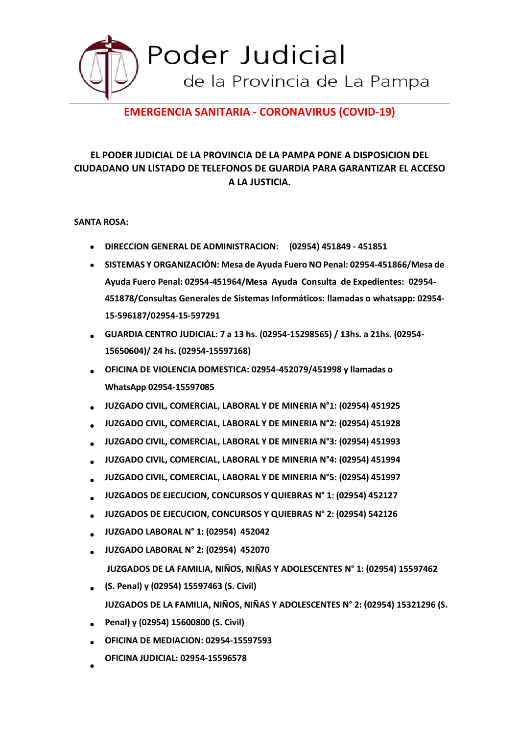

# **EMERGENCIA SANITARIA - CORONAVIRUS (COVID-19)**

## **EL PODER JUDICIAL DE LA PROVINCIA DE LA PAMPA PONE A DISPOSICION DEL CIUDADANO UN LISTADO DE TELEFONOS DE GUARDIA PARA GARANTIZAR EL ACCESO A LA JUSTICIA.**

#### **SANTA ROSA:**

- **DIRECCION GENERAL DE ADMINISTRACION: (02954) 451849 - 451851**
- $\bullet$ **SISTEMAS Y ORGANIZACIÓN: Mesa de Ayuda Fuero NO Penal: 02954-451866/Mesa de Ayuda Fuero Penal: 02954-451964/Mesa Ayuda Consulta de Expedientes: 02954- 451878/Consultas Generales de Sistemas Informáticos: llamadas o whatsapp: 02954- 15-596187/02954-15-597291**
- **GUARDIA CENTRO JUDICIAL: 7 a 13 hs. (02954-15298565) / 13hs. a 21hs. (02954- 15650604)/ 24 hs. (02954-15597168)**  $\bullet$
- **OFICINA DE VIOLENCIA DOMESTICA: 02954-452079/451998 y llamadas o WhatsApp 02954-15597085**  $\bullet$
- **JUZGADO CIVIL, COMERCIAL, LABORAL Y DE MINERIA N°1: (02954) 451925**  $\bullet$
- **JUZGADO CIVIL, COMERCIAL, LABORAL Y DE MINERIA N°2: (02954) 451928**  $\bullet$
- **JUZGADO CIVIL, COMERCIAL, LABORAL Y DE MINERIA N°3: (02954) 451993**  $\bullet$
- **JUZGADO CIVIL, COMERCIAL, LABORAL Y DE MINERIA N°4: (02954) 451994**  $\bullet$
- **JUZGADO CIVIL, COMERCIAL, LABORAL Y DE MINERIA N°5: (02954) 451997**  $\bullet$
- **JUZGADOS DE EJECUCION, CONCURSOS Y QUIEBRAS N° 1: (02954) 452127**  $\bullet$
- **JUZGADOS DE EJECUCION, CONCURSOS Y QUIEBRAS N° 2: (02954) 542126**  $\bullet$
- **JUZGADO LABORAL N° 1: (02954) 452042**  $\bullet$
- **JUZGADO LABORAL N° 2: (02954) 452070**  $\bullet$ 
	- **JUZGADOS DE LA FAMILIA, NIÑOS, NIÑAS Y ADOLESCENTES N° 1: (02954) 15597462**
- **(S. Penal) y (02954) 15597463 (S. Civil) JUZGADOS DE LA FAMILIA, NIÑOS, NIÑAS Y ADOLESCENTES N° 2: (02954) 15321296 (S.**
- **Penal) y (02954) 15600800 (S. Civil)**
- **OFICINA DE MEDIACION: 02954-15597593**  $\bullet$
- **OFICINA JUDICIAL: 02954-15596578**  $\bullet$